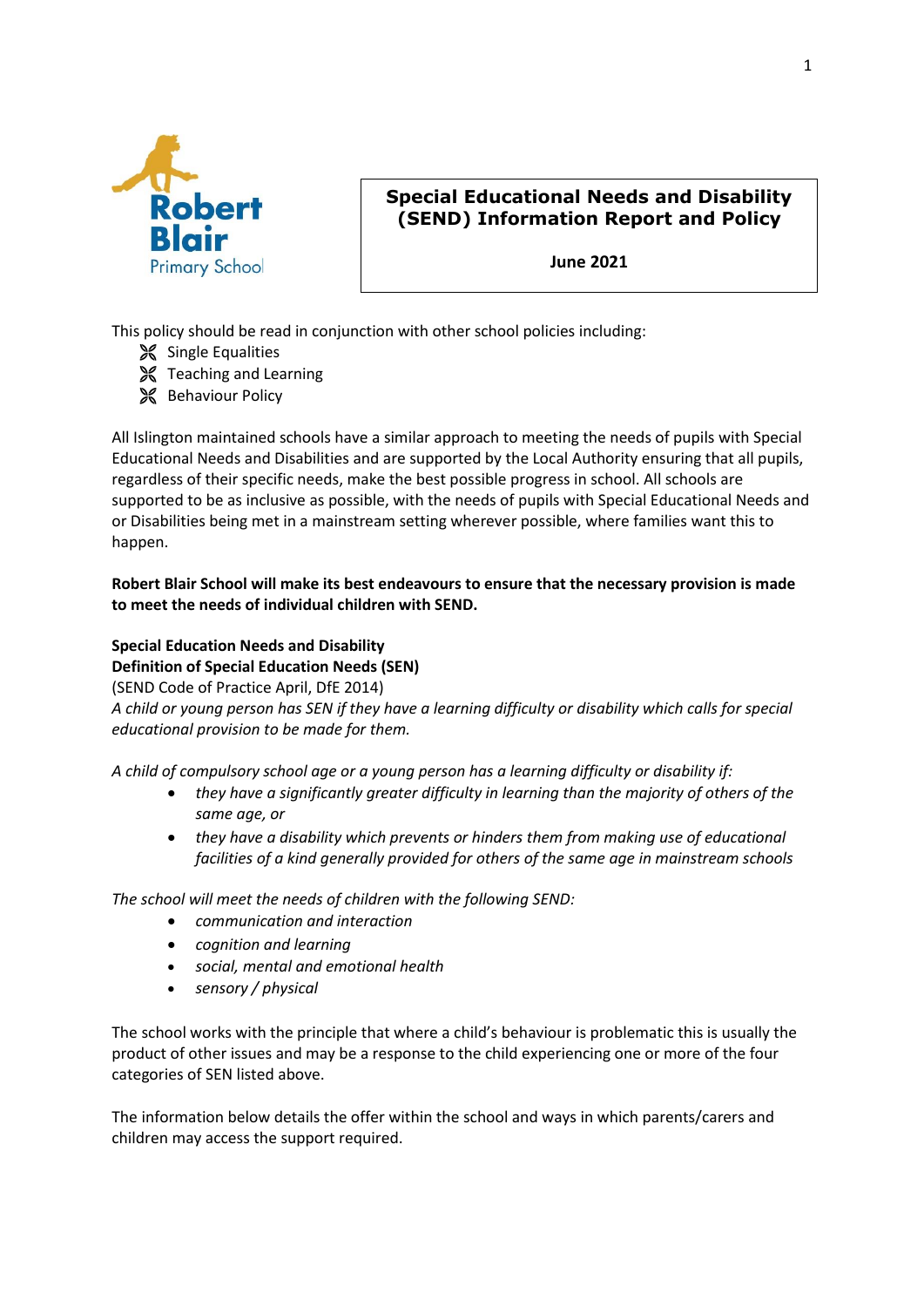

# **Special Educational Needs and Disability (SEND) Information Report and Policy**

**June 2021**

This policy should be read in conjunction with other school policies including:

- Single Equalities
- **X** Teaching and Learning
- **SC** Behaviour Policy

All Islington maintained schools have a similar approach to meeting the needs of pupils with Special Educational Needs and Disabilities and are supported by the Local Authority ensuring that all pupils, regardless of their specific needs, make the best possible progress in school. All schools are supported to be as inclusive as possible, with the needs of pupils with Special Educational Needs and or Disabilities being met in a mainstream setting wherever possible, where families want this to happen.

### **Robert Blair School will make its best endeavours to ensure that the necessary provision is made to meet the needs of individual children with SEND.**

# **Special Education Needs and Disability**

**Definition of Special Education Needs (SEN)** 

(SEND Code of Practice April, DfE 2014)

*A child or young person has SEN if they have a learning difficulty or disability which calls for special educational provision to be made for them.* 

*A child of compulsory school age or a young person has a learning difficulty or disability if:* 

- *they have a significantly greater difficulty in learning than the majority of others of the same age, or*
- *they have a disability which prevents or hinders them from making use of educational facilities of a kind generally provided for others of the same age in mainstream schools*

*The school will meet the needs of children with the following SEND:* 

- *communication and interaction*
- *cognition and learning*
- *social, mental and emotional health*
- *sensory / physical*

The school works with the principle that where a child's behaviour is problematic this is usually the product of other issues and may be a response to the child experiencing one or more of the four categories of SEN listed above.

The information below details the offer within the school and ways in which parents/carers and children may access the support required.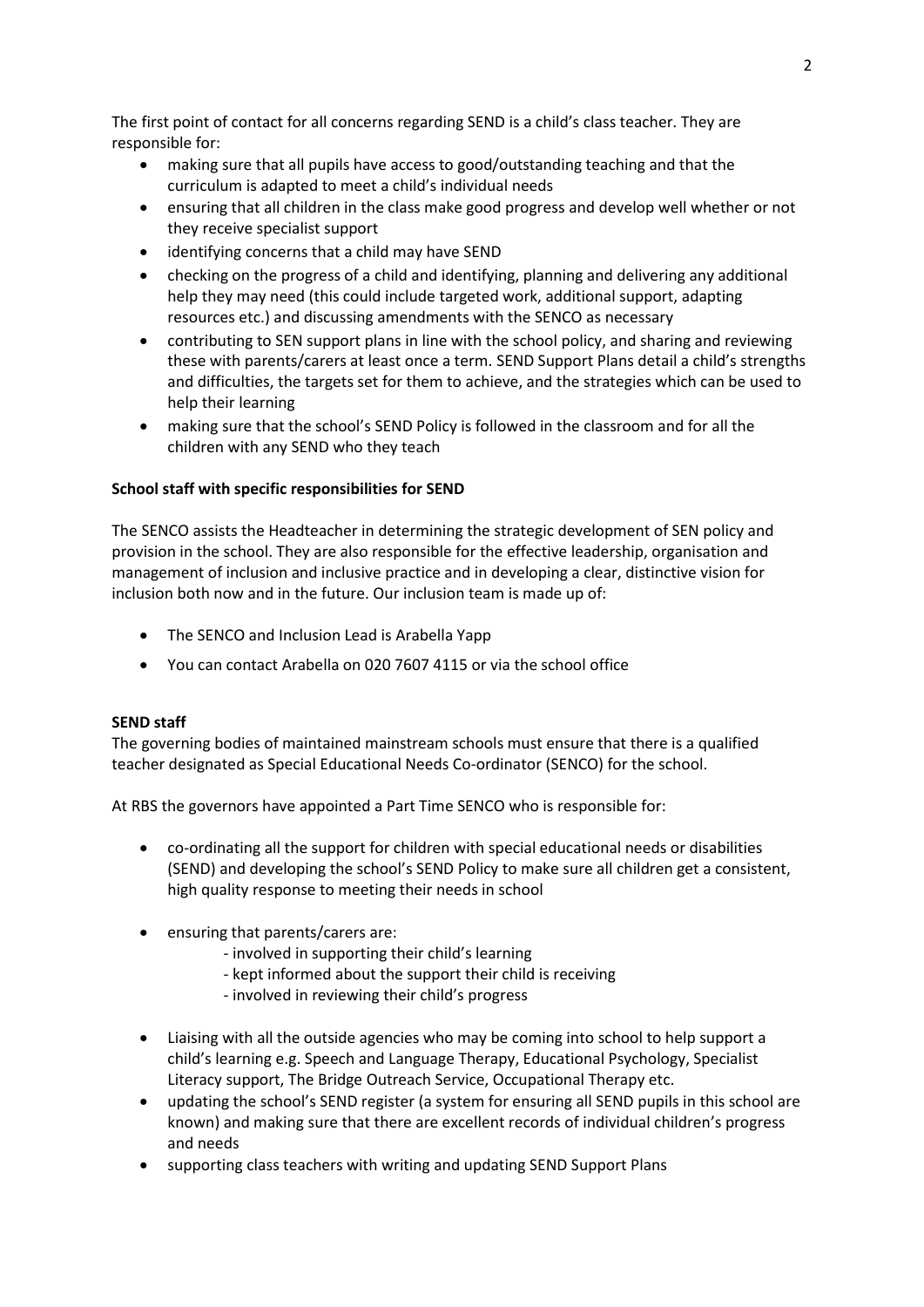The first point of contact for all concerns regarding SEND is a child's class teacher. They are responsible for:

- making sure that all pupils have access to good/outstanding teaching and that the curriculum is adapted to meet a child's individual needs
- ensuring that all children in the class make good progress and develop well whether or not they receive specialist support
- identifying concerns that a child may have SEND
- checking on the progress of a child and identifying, planning and delivering any additional help they may need (this could include targeted work, additional support, adapting resources etc.) and discussing amendments with the SENCO as necessary
- contributing to SEN support plans in line with the school policy, and sharing and reviewing these with parents/carers at least once a term. SEND Support Plans detail a child's strengths and difficulties, the targets set for them to achieve, and the strategies which can be used to help their learning
- making sure that the school's SEND Policy is followed in the classroom and for all the children with any SEND who they teach

### **School staff with specific responsibilities for SEND**

The SENCO assists the Headteacher in determining the strategic development of SEN policy and provision in the school. They are also responsible for the effective leadership, organisation and management of inclusion and inclusive practice and in developing a clear, distinctive vision for inclusion both now and in the future. Our inclusion team is made up of:

- The SENCO and Inclusion Lead is Arabella Yapp
- You can contact Arabella on 020 7607 4115 or via the school office

#### **SEND staff**

The governing bodies of maintained mainstream schools must ensure that there is a qualified teacher designated as Special Educational Needs Co-ordinator (SENCO) for the school.

At RBS the governors have appointed a Part Time SENCO who is responsible for:

- co-ordinating all the support for children with special educational needs or disabilities (SEND) and developing the school's SEND Policy to make sure all children get a consistent, high quality response to meeting their needs in school
- ensuring that parents/carers are:
	- involved in supporting their child's learning
	- kept informed about the support their child is receiving
	- involved in reviewing their child's progress
- Liaising with all the outside agencies who may be coming into school to help support a child's learning e.g. Speech and Language Therapy, Educational Psychology, Specialist Literacy support, The Bridge Outreach Service, Occupational Therapy etc.
- updating the school's SEND register (a system for ensuring all SEND pupils in this school are known) and making sure that there are excellent records of individual children's progress and needs
- supporting class teachers with writing and updating SEND Support Plans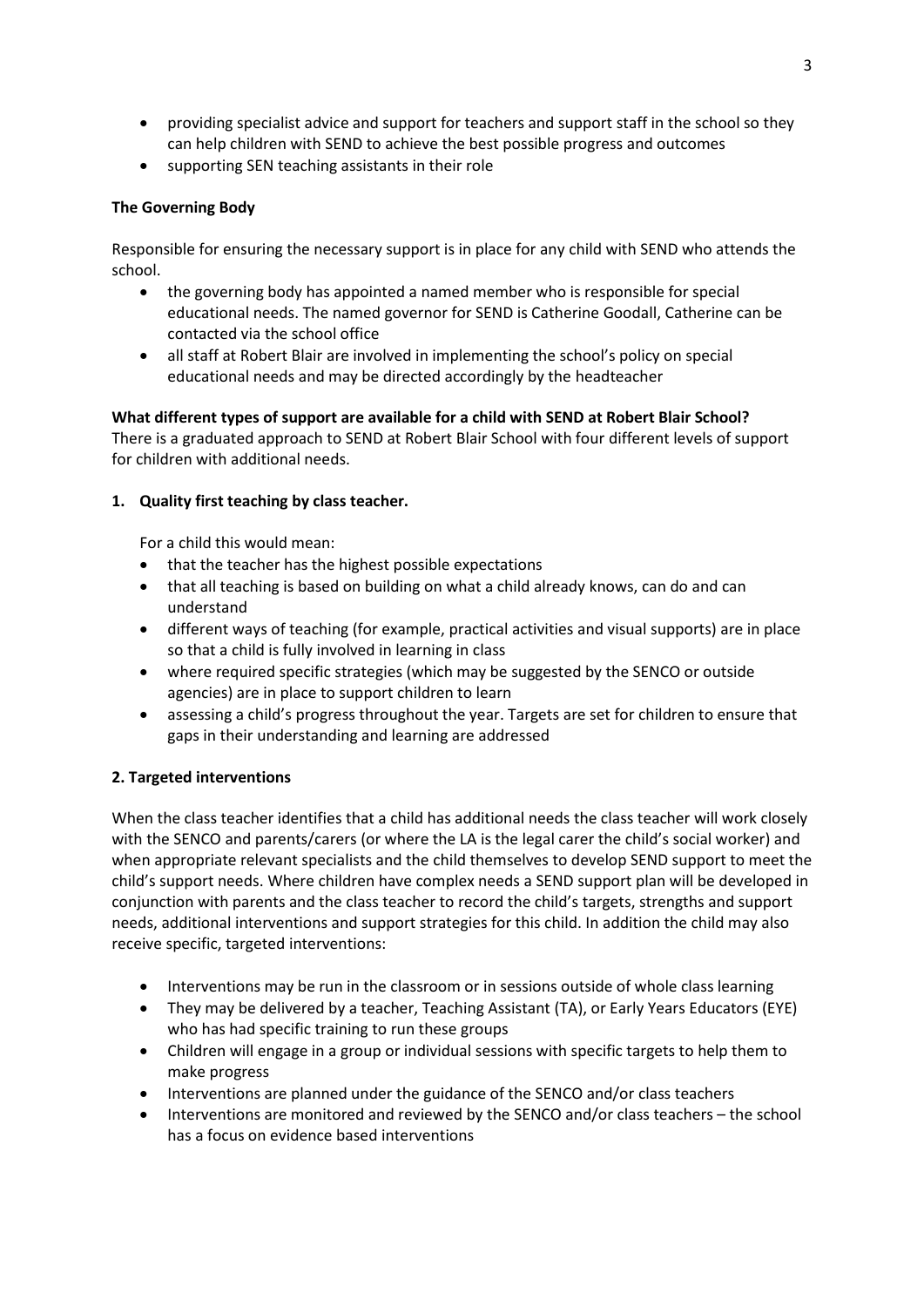- providing specialist advice and support for teachers and support staff in the school so they can help children with SEND to achieve the best possible progress and outcomes
- supporting SEN teaching assistants in their role

# **The Governing Body**

Responsible for ensuring the necessary support is in place for any child with SEND who attends the school.

- the governing body has appointed a named member who is responsible for special educational needs. The named governor for SEND is Catherine Goodall, Catherine can be contacted via the school office
- all staff at Robert Blair are involved in implementing the school's policy on special educational needs and may be directed accordingly by the headteacher

# **What different types of support are available for a child with SEND at Robert Blair School?**

There is a graduated approach to SEND at Robert Blair School with four different levels of support for children with additional needs.

# **1. Quality first teaching by class teacher.**

For a child this would mean:

- that the teacher has the highest possible expectations
- that all teaching is based on building on what a child already knows, can do and can understand
- different ways of teaching (for example, practical activities and visual supports) are in place so that a child is fully involved in learning in class
- where required specific strategies (which may be suggested by the SENCO or outside agencies) are in place to support children to learn
- assessing a child's progress throughout the year. Targets are set for children to ensure that gaps in their understanding and learning are addressed

# **2. Targeted interventions**

When the class teacher identifies that a child has additional needs the class teacher will work closely with the SENCO and parents/carers (or where the LA is the legal carer the child's social worker) and when appropriate relevant specialists and the child themselves to develop SEND support to meet the child's support needs. Where children have complex needs a SEND support plan will be developed in conjunction with parents and the class teacher to record the child's targets, strengths and support needs, additional interventions and support strategies for this child. In addition the child may also receive specific, targeted interventions:

- Interventions may be run in the classroom or in sessions outside of whole class learning
- They may be delivered by a teacher, Teaching Assistant (TA), or Early Years Educators (EYE) who has had specific training to run these groups
- Children will engage in a group or individual sessions with specific targets to help them to make progress
- Interventions are planned under the guidance of the SENCO and/or class teachers
- Interventions are monitored and reviewed by the SENCO and/or class teachers the school has a focus on evidence based interventions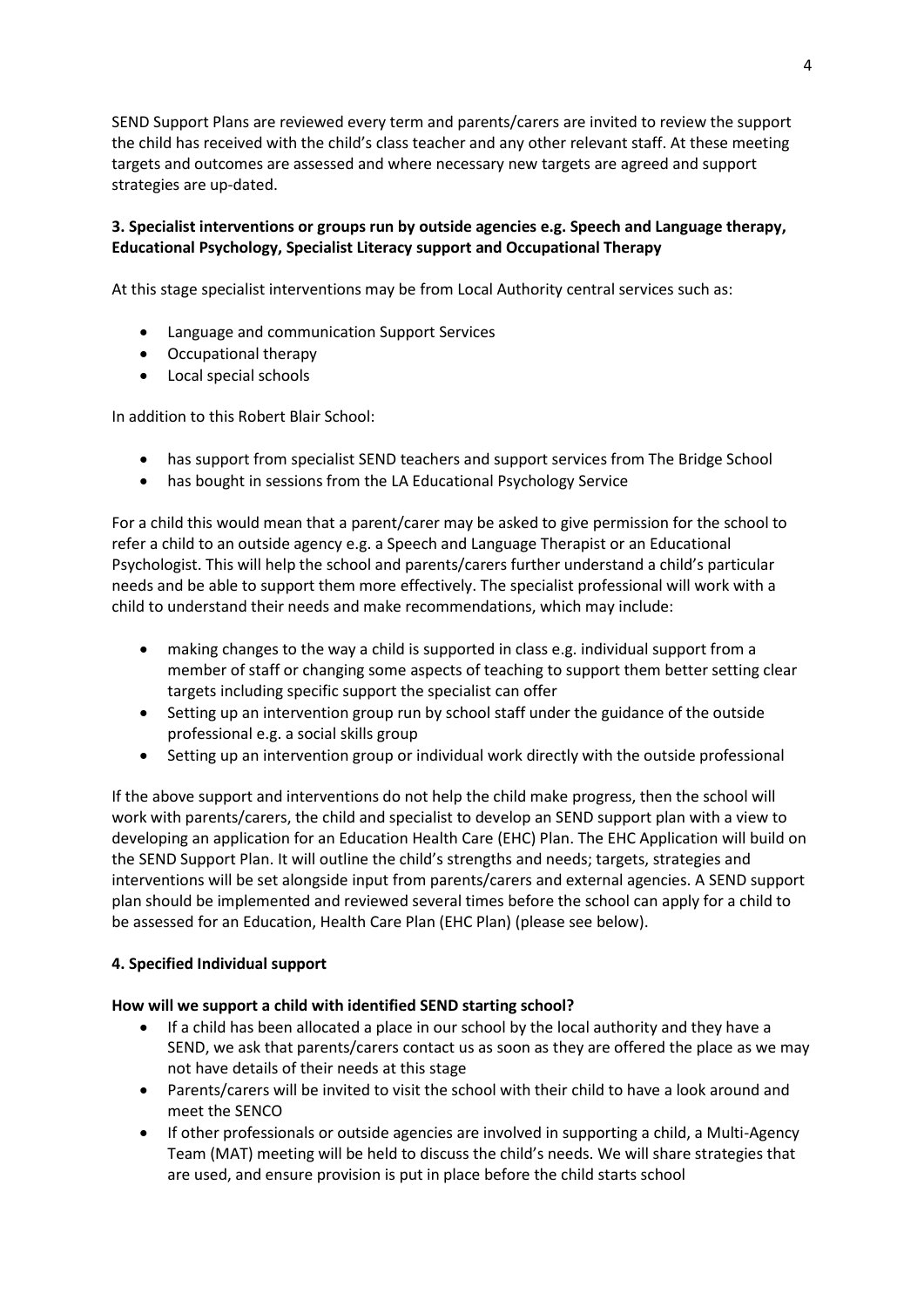SEND Support Plans are reviewed every term and parents/carers are invited to review the support the child has received with the child's class teacher and any other relevant staff. At these meeting targets and outcomes are assessed and where necessary new targets are agreed and support strategies are up-dated.

# **3. Specialist interventions or groups run by outside agencies e.g. Speech and Language therapy, Educational Psychology, Specialist Literacy support and Occupational Therapy**

At this stage specialist interventions may be from Local Authority central services such as:

- Language and communication Support Services
- Occupational therapy
- Local special schools

In addition to this Robert Blair School:

- has support from specialist SEND teachers and support services from The Bridge School
- has bought in sessions from the LA Educational Psychology Service

For a child this would mean that a parent/carer may be asked to give permission for the school to refer a child to an outside agency e.g. a Speech and Language Therapist or an Educational Psychologist. This will help the school and parents/carers further understand a child's particular needs and be able to support them more effectively. The specialist professional will work with a child to understand their needs and make recommendations, which may include:

- making changes to the way a child is supported in class e.g. individual support from a member of staff or changing some aspects of teaching to support them better setting clear targets including specific support the specialist can offer
- Setting up an intervention group run by school staff under the guidance of the outside professional e.g. a social skills group
- Setting up an intervention group or individual work directly with the outside professional

If the above support and interventions do not help the child make progress, then the school will work with parents/carers, the child and specialist to develop an SEND support plan with a view to developing an application for an Education Health Care (EHC) Plan. The EHC Application will build on the SEND Support Plan. It will outline the child's strengths and needs; targets, strategies and interventions will be set alongside input from parents/carers and external agencies. A SEND support plan should be implemented and reviewed several times before the school can apply for a child to be assessed for an Education, Health Care Plan (EHC Plan) (please see below).

#### **4. Specified Individual support**

#### **How will we support a child with identified SEND starting school?**

- If a child has been allocated a place in our school by the local authority and they have a SEND, we ask that parents/carers contact us as soon as they are offered the place as we may not have details of their needs at this stage
- Parents/carers will be invited to visit the school with their child to have a look around and meet the SENCO
- If other professionals or outside agencies are involved in supporting a child, a Multi-Agency Team (MAT) meeting will be held to discuss the child's needs. We will share strategies that are used, and ensure provision is put in place before the child starts school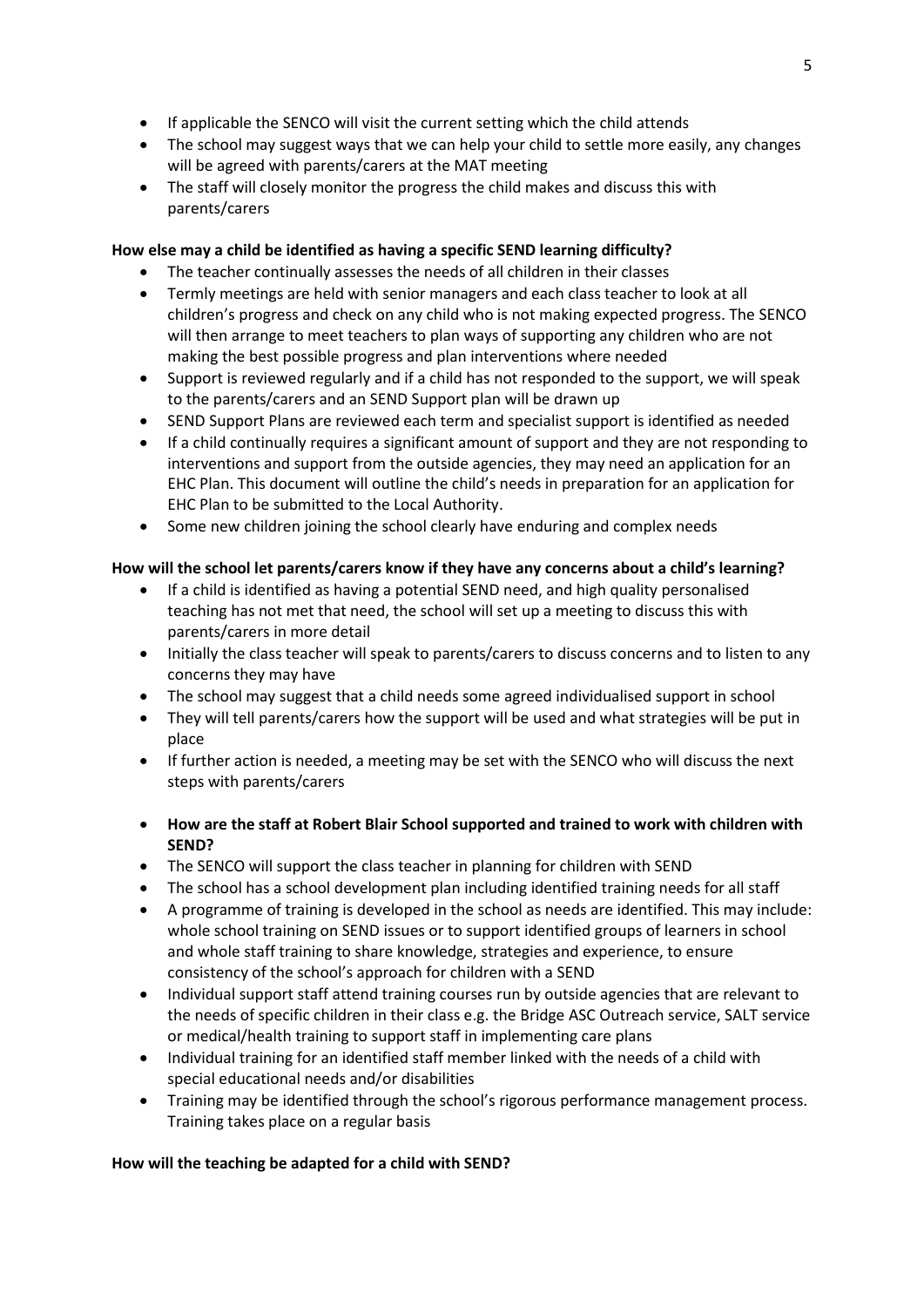- If applicable the SENCO will visit the current setting which the child attends
- The school may suggest ways that we can help your child to settle more easily, any changes will be agreed with parents/carers at the MAT meeting
- The staff will closely monitor the progress the child makes and discuss this with parents/carers

# **How else may a child be identified as having a specific SEND learning difficulty?**

- The teacher continually assesses the needs of all children in their classes
- Termly meetings are held with senior managers and each class teacher to look at all children's progress and check on any child who is not making expected progress. The SENCO will then arrange to meet teachers to plan ways of supporting any children who are not making the best possible progress and plan interventions where needed
- Support is reviewed regularly and if a child has not responded to the support, we will speak to the parents/carers and an SEND Support plan will be drawn up
- SEND Support Plans are reviewed each term and specialist support is identified as needed
- If a child continually requires a significant amount of support and they are not responding to interventions and support from the outside agencies, they may need an application for an EHC Plan. This document will outline the child's needs in preparation for an application for EHC Plan to be submitted to the Local Authority.
- Some new children joining the school clearly have enduring and complex needs

# **How will the school let parents/carers know if they have any concerns about a child's learning?**

- If a child is identified as having a potential SEND need, and high quality personalised teaching has not met that need, the school will set up a meeting to discuss this with parents/carers in more detail
- Initially the class teacher will speak to parents/carers to discuss concerns and to listen to any concerns they may have
- The school may suggest that a child needs some agreed individualised support in school
- They will tell parents/carers how the support will be used and what strategies will be put in place
- If further action is needed, a meeting may be set with the SENCO who will discuss the next steps with parents/carers
- **How are the staff at Robert Blair School supported and trained to work with children with SEND?**
- The SENCO will support the class teacher in planning for children with SEND
- The school has a school development plan including identified training needs for all staff
- A programme of training is developed in the school as needs are identified. This may include: whole school training on SEND issues or to support identified groups of learners in school and whole staff training to share knowledge, strategies and experience, to ensure consistency of the school's approach for children with a SEND
- Individual support staff attend training courses run by outside agencies that are relevant to the needs of specific children in their class e.g. the Bridge ASC Outreach service, SALT service or medical/health training to support staff in implementing care plans
- Individual training for an identified staff member linked with the needs of a child with special educational needs and/or disabilities
- Training may be identified through the school's rigorous performance management process. Training takes place on a regular basis

### **How will the teaching be adapted for a child with SEND?**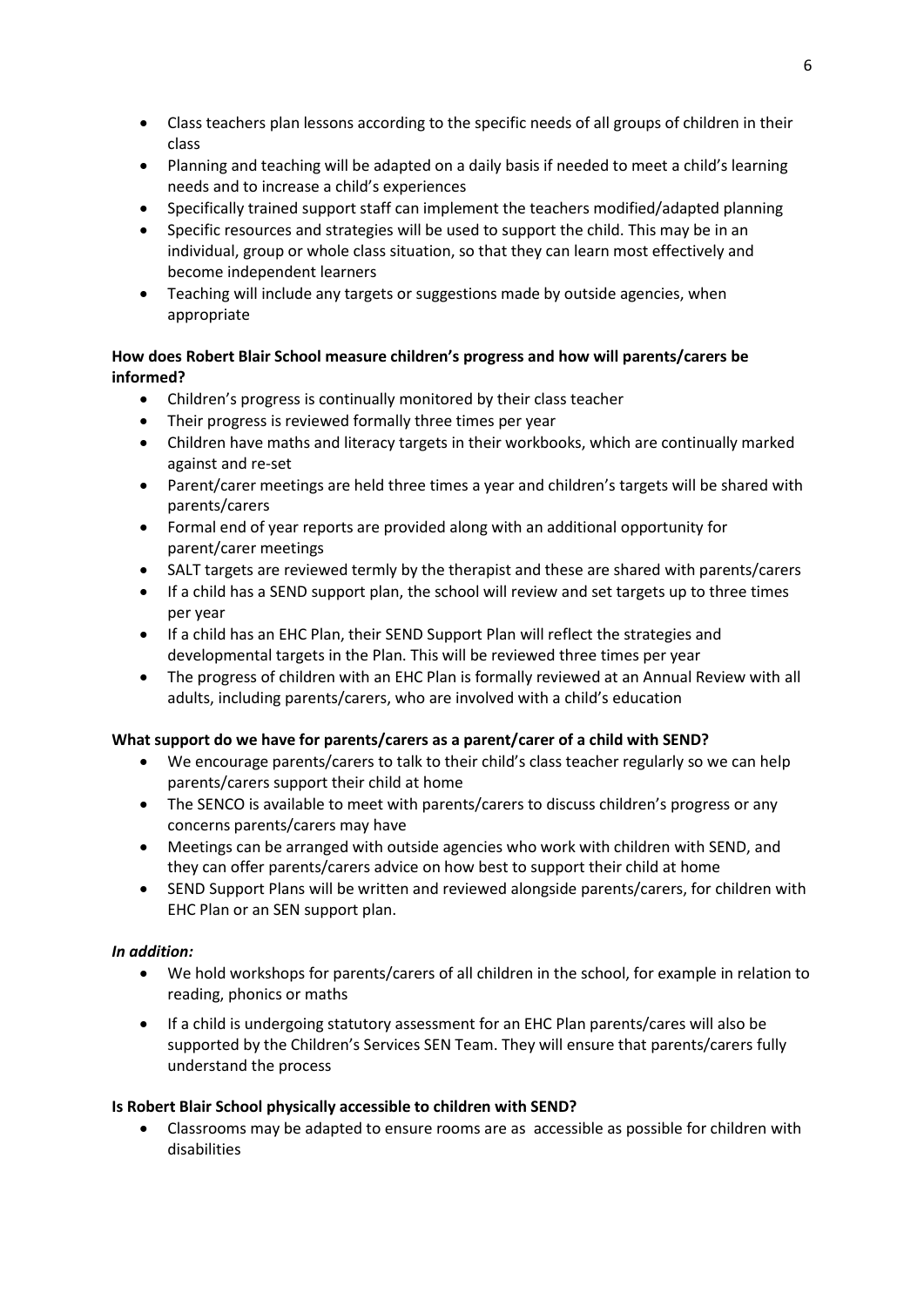- Class teachers plan lessons according to the specific needs of all groups of children in their class
- Planning and teaching will be adapted on a daily basis if needed to meet a child's learning needs and to increase a child's experiences
- Specifically trained support staff can implement the teachers modified/adapted planning
- Specific resources and strategies will be used to support the child. This may be in an individual, group or whole class situation, so that they can learn most effectively and become independent learners
- Teaching will include any targets or suggestions made by outside agencies, when appropriate

# **How does Robert Blair School measure children's progress and how will parents/carers be informed?**

- Children's progress is continually monitored by their class teacher
- Their progress is reviewed formally three times per year
- Children have maths and literacy targets in their workbooks, which are continually marked against and re-set
- Parent/carer meetings are held three times a year and children's targets will be shared with parents/carers
- Formal end of year reports are provided along with an additional opportunity for parent/carer meetings
- SALT targets are reviewed termly by the therapist and these are shared with parents/carers
- If a child has a SEND support plan, the school will review and set targets up to three times per year
- If a child has an EHC Plan, their SEND Support Plan will reflect the strategies and developmental targets in the Plan. This will be reviewed three times per year
- The progress of children with an EHC Plan is formally reviewed at an Annual Review with all adults, including parents/carers, who are involved with a child's education

### **What support do we have for parents/carers as a parent/carer of a child with SEND?**

- We encourage parents/carers to talk to their child's class teacher regularly so we can help parents/carers support their child at home
- The SENCO is available to meet with parents/carers to discuss children's progress or any concerns parents/carers may have
- Meetings can be arranged with outside agencies who work with children with SEND, and they can offer parents/carers advice on how best to support their child at home
- SEND Support Plans will be written and reviewed alongside parents/carers, for children with EHC Plan or an SEN support plan.

### *In addition:*

- We hold workshops for parents/carers of all children in the school, for example in relation to reading, phonics or maths
- If a child is undergoing statutory assessment for an EHC Plan parents/cares will also be supported by the Children's Services SEN Team. They will ensure that parents/carers fully understand the process

### **Is Robert Blair School physically accessible to children with SEND?**

• Classrooms may be adapted to ensure rooms are as accessible as possible for children with disabilities